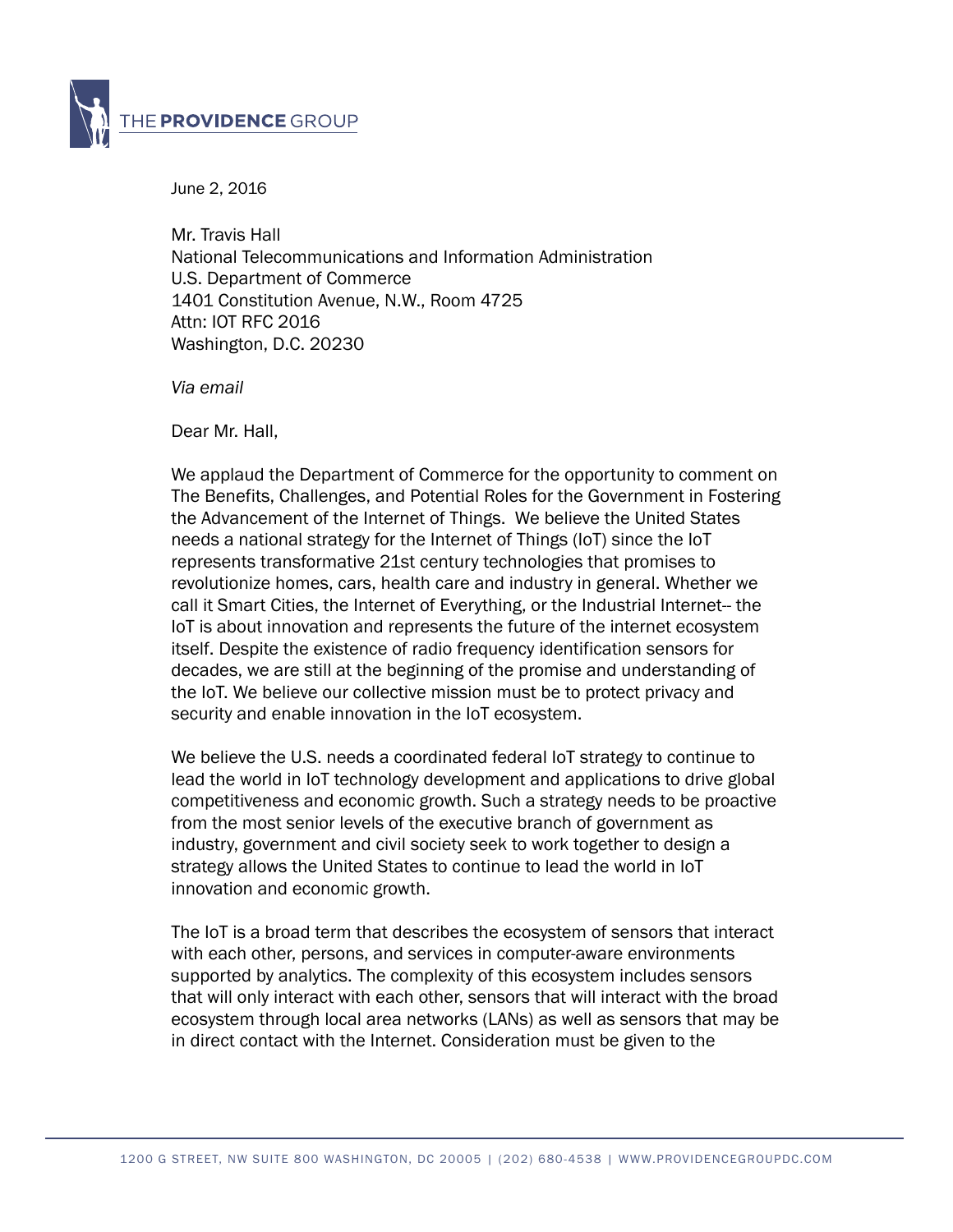

June 2, 2016

Mr. Travis Hall National Telecommunications and Information Administration U.S. Department of Commerce 1401 Constitution Avenue, N.W., Room 4725 Attn: IOT RFC 2016 Washington, D.C. 20230

*Via email* 

Dear Mr. Hall,

We applaud the Department of Commerce for the opportunity to comment on The Benefits, Challenges, and Potential Roles for the Government in Fostering the Advancement of the Internet of Things. We believe the United States needs a national strategy for the Internet of Things (IoT) since the IoT represents transformative 21st century technologies that promises to revolutionize homes, cars, health care and industry in general. Whether we call it Smart Cities, the Internet of Everything, or the Industrial Internet-- the IoT is about innovation and represents the future of the internet ecosystem itself. Despite the existence of radio frequency identification sensors for decades, we are still at the beginning of the promise and understanding of the IoT. We believe our collective mission must be to protect privacy and security and enable innovation in the IoT ecosystem.

We believe the U.S. needs a coordinated federal IoT strategy to continue to lead the world in IoT technology development and applications to drive global competitiveness and economic growth. Such a strategy needs to be proactive from the most senior levels of the executive branch of government as industry, government and civil society seek to work together to design a strategy allows the United States to continue to lead the world in IoT innovation and economic growth.

The IoT is a broad term that describes the ecosystem of sensors that interact with each other, persons, and services in computer-aware environments supported by analytics. The complexity of this ecosystem includes sensors that will only interact with each other, sensors that will interact with the broad ecosystem through local area networks (LANs) as well as sensors that may be in direct contact with the Internet. Consideration must be given to the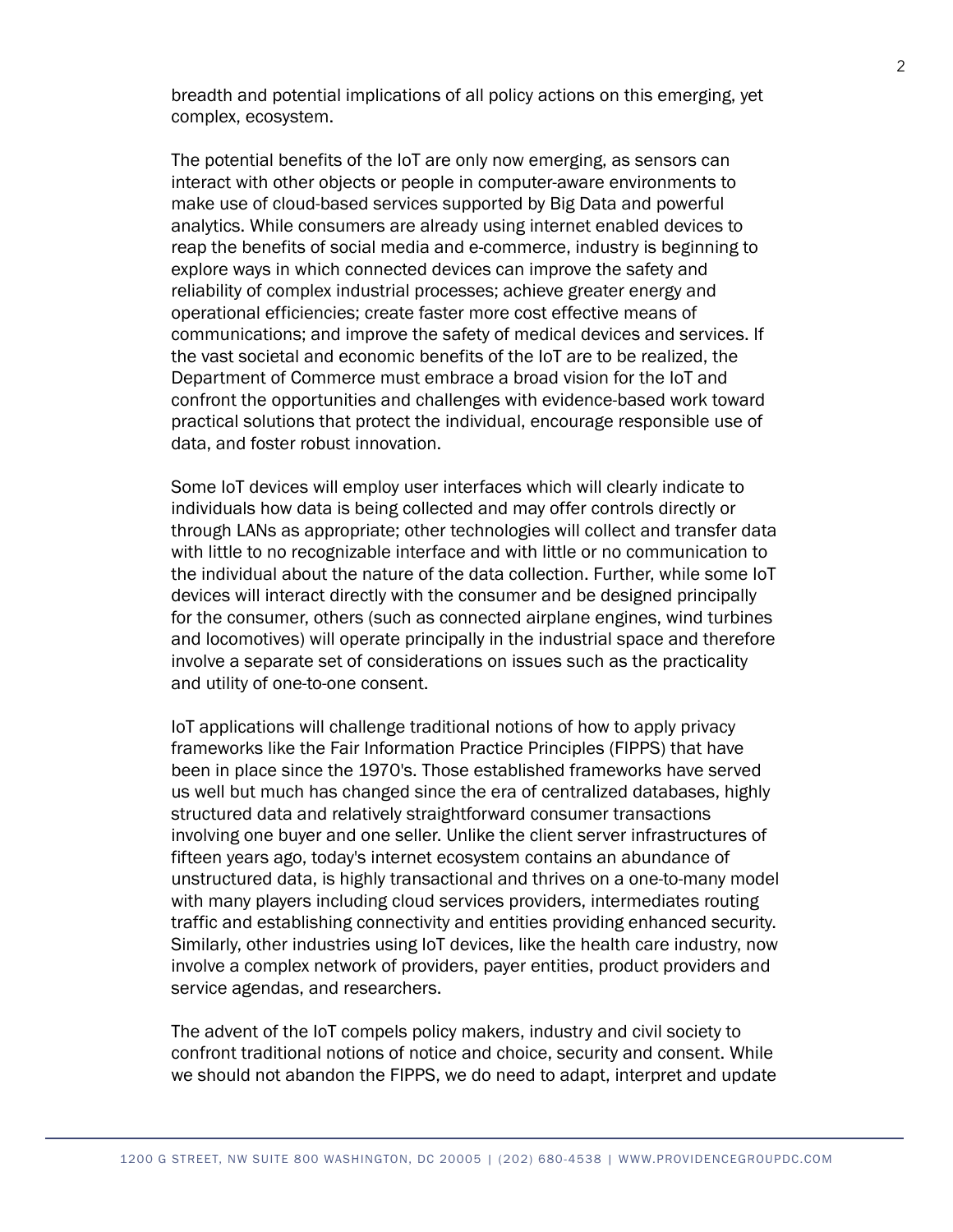breadth and potential implications of all policy actions on this emerging, yet complex, ecosystem.

The potential benefits of the IoT are only now emerging, as sensors can interact with other objects or people in computer-aware environments to make use of cloud-based services supported by Big Data and powerful analytics. While consumers are already using internet enabled devices to reap the benefits of social media and e-commerce, industry is beginning to explore ways in which connected devices can improve the safety and reliability of complex industrial processes; achieve greater energy and operational efficiencies; create faster more cost effective means of communications; and improve the safety of medical devices and services. If the vast societal and economic benefits of the IoT are to be realized, the Department of Commerce must embrace a broad vision for the IoT and confront the opportunities and challenges with evidence-based work toward practical solutions that protect the individual, encourage responsible use of data, and foster robust innovation.

Some IoT devices will employ user interfaces which will clearly indicate to individuals how data is being collected and may offer controls directly or through LANs as appropriate; other technologies will collect and transfer data with little to no recognizable interface and with little or no communication to the individual about the nature of the data collection. Further, while some IoT devices will interact directly with the consumer and be designed principally for the consumer, others (such as connected airplane engines, wind turbines and locomotives) will operate principally in the industrial space and therefore involve a separate set of considerations on issues such as the practicality and utility of one-to-one consent.

IoT applications will challenge traditional notions of how to apply privacy frameworks like the Fair Information Practice Principles (FIPPS) that have been in place since the 1970's. Those established frameworks have served us well but much has changed since the era of centralized databases, highly structured data and relatively straightforward consumer transactions involving one buyer and one seller. Unlike the client server infrastructures of fifteen years ago, today's internet ecosystem contains an abundance of unstructured data, is highly transactional and thrives on a one-to-many model with many players including cloud services providers, intermediates routing traffic and establishing connectivity and entities providing enhanced security. Similarly, other industries using IoT devices, like the health care industry, now involve a complex network of providers, payer entities, product providers and service agendas, and researchers.

The advent of the IoT compels policy makers, industry and civil society to confront traditional notions of notice and choice, security and consent. While we should not abandon the FIPPS, we do need to adapt, interpret and update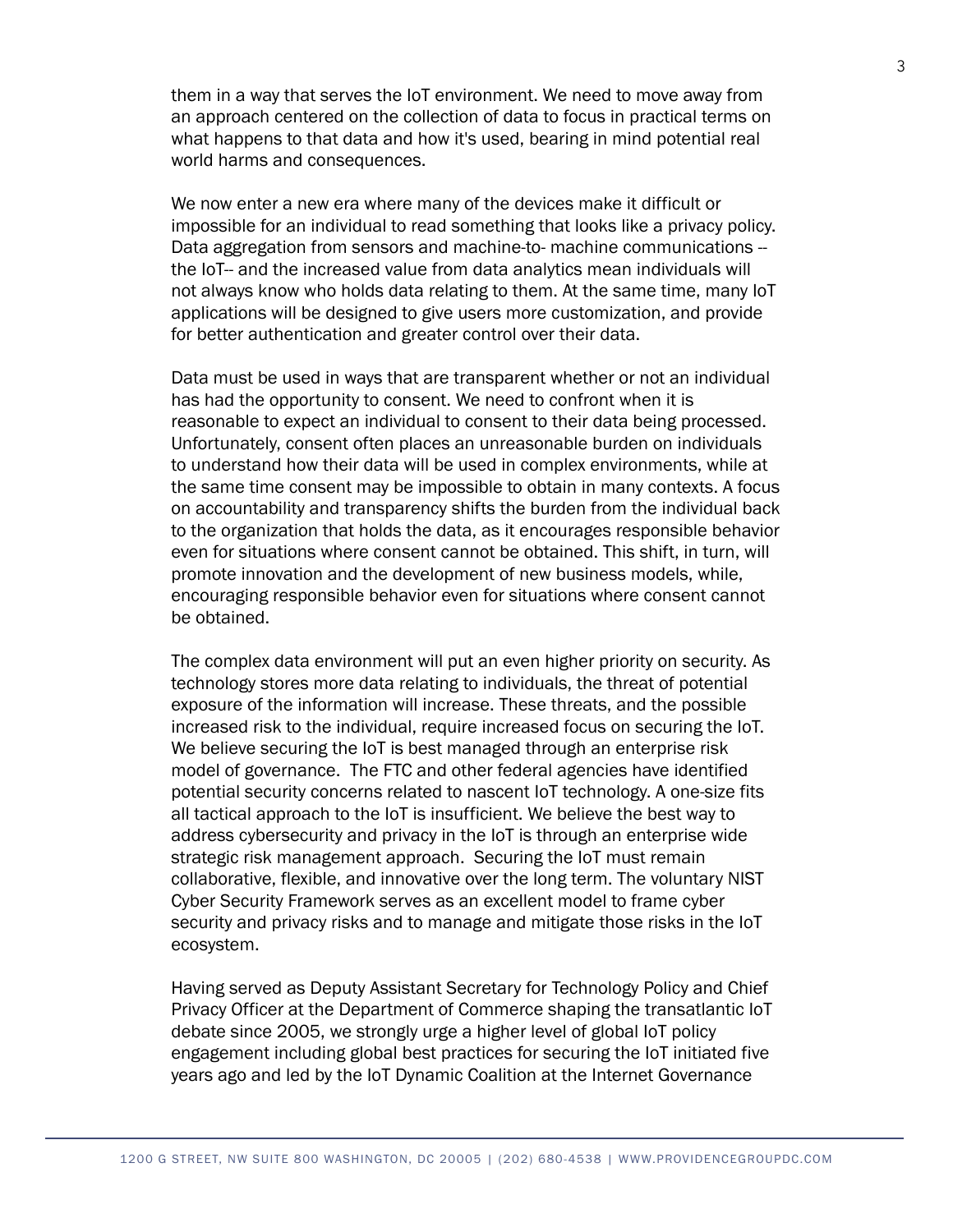them in a way that serves the IoT environment. We need to move away from an approach centered on the collection of data to focus in practical terms on what happens to that data and how it's used, bearing in mind potential real world harms and consequences.

We now enter a new era where many of the devices make it difficult or impossible for an individual to read something that looks like a privacy policy. Data aggregation from sensors and machine-to- machine communications the IoT-- and the increased value from data analytics mean individuals will not always know who holds data relating to them. At the same time, many IoT applications will be designed to give users more customization, and provide for better authentication and greater control over their data.

Data must be used in ways that are transparent whether or not an individual has had the opportunity to consent. We need to confront when it is reasonable to expect an individual to consent to their data being processed. Unfortunately, consent often places an unreasonable burden on individuals to understand how their data will be used in complex environments, while at the same time consent may be impossible to obtain in many contexts. A focus on accountability and transparency shifts the burden from the individual back to the organization that holds the data, as it encourages responsible behavior even for situations where consent cannot be obtained. This shift, in turn, will promote innovation and the development of new business models, while, encouraging responsible behavior even for situations where consent cannot be obtained.

The complex data environment will put an even higher priority on security. As technology stores more data relating to individuals, the threat of potential exposure of the information will increase. These threats, and the possible increased risk to the individual, require increased focus on securing the IoT. We believe securing the IoT is best managed through an enterprise risk model of governance. The FTC and other federal agencies have identified potential security concerns related to nascent IoT technology. A one-size fits all tactical approach to the IoT is insufficient. We believe the best way to address cybersecurity and privacy in the IoT is through an enterprise wide strategic risk management approach. Securing the IoT must remain collaborative, flexible, and innovative over the long term. The voluntary NIST Cyber Security Framework serves as an excellent model to frame cyber security and privacy risks and to manage and mitigate those risks in the IoT ecosystem.

Having served as Deputy Assistant Secretary for Technology Policy and Chief Privacy Officer at the Department of Commerce shaping the transatlantic IoT debate since 2005, we strongly urge a higher level of global IoT policy engagement including global best practices for securing the IoT initiated five years ago and led by the IoT Dynamic Coalition at the Internet Governance